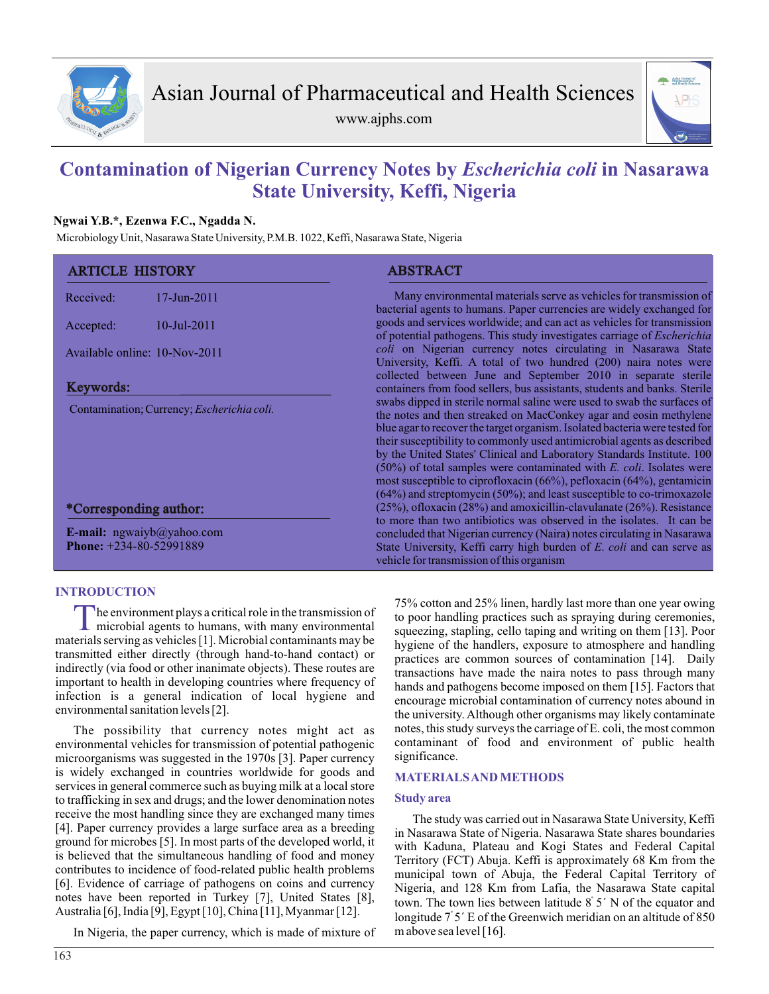

www.ajphs.com



# **Contamination of Nigerian Currency Notes by** *Escherichia coli* **in Nasarawa State University, Keffi, Nigeria**

# **Ngwai Y.B.\*, Ezenwa F.C., Ngadda N.**

Microbiology Unit, Nasarawa State University, P.M.B. 1022, Keffi, Nasarawa State, Nigeria

| <b>ARTICLE HISTORY</b>                                         |                | <b>ABSTRACT</b>                                                                                                                                                                                                                                                                                                                                                                                                                                                                                                                                                                                               |  |  |  |
|----------------------------------------------------------------|----------------|---------------------------------------------------------------------------------------------------------------------------------------------------------------------------------------------------------------------------------------------------------------------------------------------------------------------------------------------------------------------------------------------------------------------------------------------------------------------------------------------------------------------------------------------------------------------------------------------------------------|--|--|--|
| Received:                                                      | $17$ -Jun-2011 | Many environmental materials serve as vehicles for transmission of<br>bacterial agents to humans. Paper currencies are widely exchanged for                                                                                                                                                                                                                                                                                                                                                                                                                                                                   |  |  |  |
| Accepted:                                                      | $10$ -Jul-2011 | goods and services worldwide; and can act as vehicles for transmission<br>of potential pathogens. This study investigates carriage of <i>Escherichia</i>                                                                                                                                                                                                                                                                                                                                                                                                                                                      |  |  |  |
| Available online: 10-Nov-2011                                  |                | coli on Nigerian currency notes circulating in Nasarawa State<br>University, Keffi. A total of two hundred (200) naira notes were<br>collected between June and September 2010 in separate sterile<br>containers from food sellers, bus assistants, students and banks. Sterile                                                                                                                                                                                                                                                                                                                               |  |  |  |
| Keywords:                                                      |                |                                                                                                                                                                                                                                                                                                                                                                                                                                                                                                                                                                                                               |  |  |  |
| Contamination; Currency; <i>Escherichia coli.</i>              |                | swabs dipped in sterile normal saline were used to swab the surfaces of<br>the notes and then streaked on MacConkey agar and eosin methylene<br>blue agar to recover the target organism. Isolated bacteria were tested for<br>their susceptibility to commonly used antimicrobial agents as described<br>by the United States' Clinical and Laboratory Standards Institute. 100<br>$(50\%)$ of total samples were contaminated with E. coli. Isolates were<br>most susceptible to ciprofloxacin (66%), pefloxacin (64%), gentamicin<br>(64%) and streptomycin (50%); and least susceptible to co-trimoxazole |  |  |  |
| *Corresponding author:                                         |                | $(25\%)$ , ofloxacin $(28\%)$ and amoxicillin-clavulanate $(26\%)$ . Resistance<br>to more than two antibiotics was observed in the isolates. It can be                                                                                                                                                                                                                                                                                                                                                                                                                                                       |  |  |  |
| E-mail: $ngwayb@yahoo.com$<br><b>Phone:</b> $+234-80-52991889$ |                | concluded that Nigerian currency (Naira) notes circulating in Nasarawa<br>State University, Keffi carry high burden of E. coli and can serve as<br>vehicle for transmission of this organism                                                                                                                                                                                                                                                                                                                                                                                                                  |  |  |  |

## **INTRODUCTION**

The environment plays a critical role in the transmission of microbial agents to humans, with many environmental materials serving as vehicles [1]. Microbial contaminants may be he environment plays a critical role in the transmission of microbial agents to humans, with many environmental transmitted either directly (through hand-to-hand contact) or indirectly (via food or other inanimate objects). These routes are important to health in developing countries where frequency of infection is a general indication of local hygiene and environmental sanitation levels [2].

The possibility that currency notes might act as environmental vehicles for transmission of potential pathogenic microorganisms was suggested in the 1970s [3]. Paper currency is widely exchanged in countries worldwide for goods and services in general commerce such as buying milk at a local store to trafficking in sex and drugs; and the lower denomination notes receive the most handling since they are exchanged many times [4]. Paper currency provides a large surface area as a breeding ground for microbes [5]. In most parts of the developed world, it is believed that the simultaneous handling of food and money contributes to incidence of food-related public health problems [6]. Evidence of carriage of pathogens on coins and currency notes have been reported in Turkey [7], United States [8], Australia [6], India [9], Egypt [10], China [11], Myanmar [12].

In Nigeria, the paper currency, which is made of mixture of

75% cotton and 25% linen, hardly last more than one year owing to poor handling practices such as spraying during ceremonies, squeezing, stapling, cello taping and writing on them [13]. Poor hygiene of the handlers, exposure to atmosphere and handling practices are common sources of contamination [14]. Daily transactions have made the naira notes to pass through many hands and pathogens become imposed on them [15]. Factors that encourage microbial contamination of currency notes abound in the university. Although other organisms may likely contaminate notes, this study surveys the carriage of E. coli, the most common contaminant of food and environment of public health significance.

## **MATERIALS AND METHODS**

#### **Study area**

The study was carried out in Nasarawa State University, Keffi in Nasarawa State of Nigeria. Nasarawa State shares boundaries with Kaduna, Plateau and Kogi States and Federal Capital Territory (FCT) Abuja. Keffi is approximately 68 Km from the municipal town of Abuja, the Federal Capital Territory of Nigeria, and 128 Km from Lafia, the Nasarawa State capital town. The town lies between latitude  $8^{\circ}$  5' N of the equator and longitude  $\frac{7}{5}$  E of the Greenwich meridian on an altitude of 850 m above sea level [16].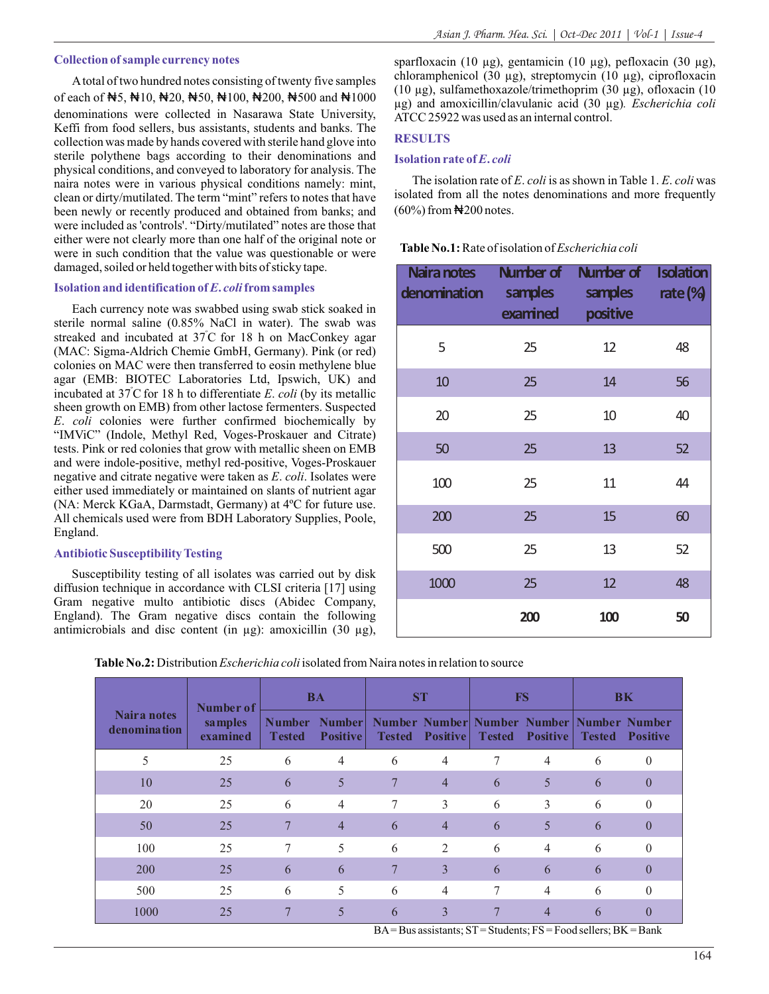Atotal of two hundred notes consisting of twenty five samples of each of ₦5, ₦10, ₦20, ₦50, ₦100, ₦200, ₦500 and ₦1000 denominations were collected in Nasarawa State University, Keffi from food sellers, bus assistants, students and banks. The collection was made by hands covered with sterile hand glove into sterile polythene bags according to their denominations and physical conditions, and conveyed to laboratory for analysis. The naira notes were in various physical conditions namely: mint, clean or dirty/mutilated. The term "mint" refers to notes that have been newly or recently produced and obtained from banks; and were included as 'controls'. "Dirty/mutilated" notes are those that either were not clearly more than one half of the original note or were in such condition that the value was questionable or were damaged, soiled or held together with bits of sticky tape.

#### **Isolation and identification of** *E***.** *coli***from samples**

Each currency note was swabbed using swab stick soaked in sterile normal saline (0.85% NaCl in water). The swab was streaked and incubated at 37°C for 18 h on MacConkey agar (MAC: Sigma-Aldrich Chemie GmbH, Germany). Pink (or red) colonies on MAC were then transferred to eosin methylene blue agar (EMB: BIOTEC Laboratories Ltd, Ipswich, UK) and incubated at  $37^{\circ}$ C for 18 h to differentiate *E*. *coli* (by its metallic sheen growth on EMB) from other lactose fermenters. Suspected *E*. *coli* colonies were further confirmed biochemically by "IMViC" (Indole, Methyl Red, Voges-Proskauer and Citrate) tests. Pink or red colonies that grow with metallic sheen on EMB and were indole-positive, methyl red-positive, Voges-Proskauer negative and citrate negative were taken as *E*. *coli*. Isolates were either used immediately or maintained on slants of nutrient agar (NA: Merck KGaA, Darmstadt, Germany) at 4ºC for future use. All chemicals used were from BDH Laboratory Supplies, Poole, England.

### **Antibiotic Susceptibility Testing**

Susceptibility testing of all isolates was carried out by disk diffusion technique in accordance with CLSI criteria [17] using Gram negative multo antibiotic discs (Abidec Company, England). The Gram negative discs contain the following antimicrobials and disc content (in µg): amoxicillin (30 µg),

sparfloxacin (10  $\mu$ g), gentamicin (10  $\mu$ g), pefloxacin (30  $\mu$ g), chloramphenicol (30 µg), streptomycin (10 µg), ciprofloxacin (10 µg), sulfamethoxazole/trimethoprim (30 µg), ofloxacin (10 µg) and amoxicillin/clavulanic acid (30 µg)*. Escherichia coli*  ATCC 25922 was used as an internal control.

#### **RESULTS**

## **Isolation rate of** *E***.** *coli*

The isolation rate of *E*. *coli*is as shown in Table 1. *E*. *coli* was isolated from all the notes denominations and more frequently  $(60\%)$  from  $\bigstar$ 200 notes.

**Table No.1:**Rate of isolation of *Escherichia coli*

| Naira notes<br>denomination | Number of<br>samples<br>examined | Number of<br>samples<br>positive | <b>Isolation</b><br>rate $\%$ |
|-----------------------------|----------------------------------|----------------------------------|-------------------------------|
| 5                           | 25                               | 12                               | 48                            |
| 10                          | 25                               | 14                               | 56                            |
| 20                          | 25                               | 10                               | 40                            |
| 50                          | 25                               | 13                               | 52                            |
| 100                         | 25                               | 11                               | 44                            |
| 200                         | 25                               | 15                               | 60                            |
| 500                         | 25                               | 13                               | 52                            |
| 1000                        | 25                               | 12                               | 48                            |
|                             | 200                              | 100                              | 50                            |

**Table No.2:** Distribution *Escherichia coli*isolated from Naira notes in relation to source

|                             | Number of<br>samples<br>examined |                                | <b>BA</b>                        |               | <b>ST</b>       | <b>FS</b>                                                                                |                 |               | <b>BK</b>       |
|-----------------------------|----------------------------------|--------------------------------|----------------------------------|---------------|-----------------|------------------------------------------------------------------------------------------|-----------------|---------------|-----------------|
| Naira notes<br>denomination |                                  | <b>Number</b><br><b>Tested</b> | <b>Number</b><br><b>Positive</b> | <b>Tested</b> | <b>Positive</b> | Number Number Number Number Number Number<br><b>Tested</b>                               | <b>Positive</b> | <b>Tested</b> | <b>Positive</b> |
| 5                           | 25                               | 6                              | $\overline{4}$                   | 6             | 4               |                                                                                          | 4               | 6             | $\theta$        |
| 10                          | 25                               | 6                              | 5                                | 7             | $\overline{4}$  | 6                                                                                        | 5               | 6             | $\theta$        |
| 20                          | 25                               | 6                              | $\overline{4}$                   | 7             | 3               | 6                                                                                        | 3               | 6             | $\Omega$        |
| 50                          | 25                               | 7                              | $\overline{4}$                   | 6             | $\overline{4}$  | 6                                                                                        | 5               | 6             | $\theta$        |
| 100                         | 25                               | 7                              | 5                                | 6             | $\overline{2}$  | 6                                                                                        | $\overline{4}$  | 6             | $\Omega$        |
| 200                         | 25                               | 6                              | 6                                | $\tau$        | 3               | 6                                                                                        | 6               | 6             | $\theta$        |
| 500                         | 25                               | 6                              | 5                                | 6             | 4               |                                                                                          | $\overline{4}$  | 6             | $\Omega$        |
| 1000                        | 25                               | $\overline{7}$                 | 5                                | 6             | 3               | 7<br>$R_A - R_{10}$ assistants: $ST - S_{t}$ dants: $FC - F_{00}$ sallers: $BK - R_{00}$ | $\overline{4}$  | 6             | $\theta$        |

 $BA = Bus$  assistants; ST = Students; FS = Food sellers; BK = Bank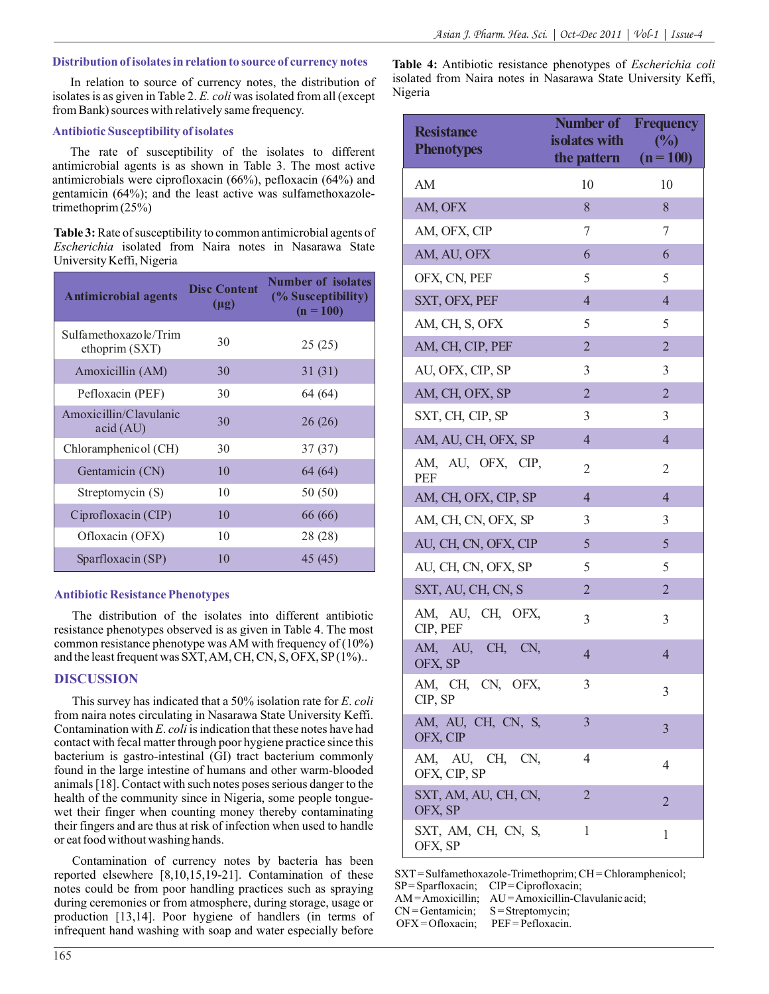#### **Distribution of isolates in relation to source of currency notes**

In relation to source of currency notes, the distribution of isolates is as given in Table 2. *E. coli* was isolated from all (except from Bank) sources with relatively same frequency.

## **Antibiotic Susceptibility of isolates**

The rate of susceptibility of the isolates to different antimicrobial agents is as shown in Table 3. The most active antimicrobials were ciprofloxacin (66%), pefloxacin (64%) and gentamicin (64%); and the least active was sulfamethoxazoletrimethoprim (25%)

**Table 3:**Rate of susceptibility to common antimicrobial agents of *Escherichia* isolated from Naira notes in Nasarawa State University Keffi, Nigeria

| <b>Antimicrobial agents</b>             | <b>Disc Content</b><br>$(\mu g)$ | <b>Number of isolates</b><br>(% Susceptibility)<br>$(n = 100)$ |
|-----------------------------------------|----------------------------------|----------------------------------------------------------------|
| Sulfamethoxazole/Trim<br>ethoprim (SXT) | 30                               | 25(25)                                                         |
| Amoxicillin (AM)                        | 30                               | 31(31)                                                         |
| Pefloxacin (PEF)                        | 30                               | 64 (64)                                                        |
| Amoxicillin/Clavulanic<br>acid (AU)     | 30                               | 26 (26)                                                        |
| Chloramphenicol (CH)                    | 30                               | 37(37)                                                         |
| Gentamicin (CN)                         | 10                               | 64 (64)                                                        |
| Streptomycin (S)                        | 10                               | 50 (50)                                                        |
| Ciprofloxacin (CIP)                     | 10                               | 66 (66)                                                        |
| Ofloxacin (OFX)                         | 10                               | 28 (28)                                                        |
| Sparfloxacin (SP)                       | 10                               | 45 (45)                                                        |

#### **Antibiotic Resistance Phenotypes**

The distribution of the isolates into different antibiotic resistance phenotypes observed is as given in Table 4. The most common resistance phenotype was AM with frequency of (10%) and the least frequent was SXT, AM, CH, CN, S, OFX, SP(1%)..

## **DISCUSSION**

This survey has indicated that a 50% isolation rate for *E*. *coli* from naira notes circulating in Nasarawa State University Keffi. Contamination with *E*. *coli*is indication that these notes have had contact with fecal matter through poor hygiene practice since this bacterium is gastro-intestinal (GI) tract bacterium commonly found in the large intestine of humans and other warm-blooded animals [18]. Contact with such notes poses serious danger to the health of the community since in Nigeria, some people tonguewet their finger when counting money thereby contaminating their fingers and are thus at risk of infection when used to handle or eat food without washing hands.

Contamination of currency notes by bacteria has been reported elsewhere [8,10,15,19-21]. Contamination of these notes could be from poor handling practices such as spraying during ceremonies or from atmosphere, during storage, usage or production [13,14]. Poor hygiene of handlers (in terms of infrequent hand washing with soap and water especially before

**Table 4:** Antibiotic resistance phenotypes of *Escherichia coli* isolated from Naira notes in Nasarawa State University Keffi, Nigeria

| <b>Resistance</b><br><b>Phenotypes</b> | <b>Number of Frequency</b><br>isolates with<br>the pattern $(n=100)$ | (%)            |
|----------------------------------------|----------------------------------------------------------------------|----------------|
| AM                                     | 10                                                                   | 10             |
| AM, OFX                                | 8                                                                    | 8              |
| AM, OFX, CIP                           | 7                                                                    | 7              |
| AM, AU, OFX                            | 6                                                                    | 6              |
| OFX, CN, PEF                           | 5                                                                    | 5              |
| SXT, OFX, PEF                          | $\overline{4}$                                                       | $\overline{4}$ |
| AM, CH, S, OFX                         | 5                                                                    | 5              |
| AM, CH, CIP, PEF                       | $\overline{2}$                                                       | $\overline{2}$ |
| AU, OFX, CIP, SP                       | 3                                                                    | 3              |
| AM, CH, OFX, SP                        | $\overline{2}$                                                       | $\overline{2}$ |
| SXT, CH, CIP, SP                       | 3                                                                    | 3              |
| AM, AU, CH, OFX, SP                    | $\overline{4}$                                                       | $\overline{4}$ |
| AM, AU, OFX, CIP,<br><b>PEF</b>        | 2                                                                    | 2              |
| AM, CH, OFX, CIP, SP                   | $\overline{4}$                                                       | $\overline{4}$ |
| AM, CH, CN, OFX, SP                    | 3                                                                    | 3              |
| AU, CH, CN, OFX, CIP                   | 5                                                                    | 5              |
| AU, CH, CN, OFX, SP                    | 5                                                                    | 5              |
| SXT, AU, CH, CN, S                     | $\overline{2}$                                                       | $\overline{2}$ |
| AM, AU, CH, OFX,<br>CIP, PEF           | 3                                                                    | 3              |
| AM, AU, CH, CN,<br>OFX, SP             | $\overline{4}$                                                       | $\overline{4}$ |
| AM, CH, CN, OFX,<br>CIP, SP            | 3                                                                    | 3              |
| AM, AU, CH, CN, S,<br>OFX, CIP         | 3                                                                    | $\overline{3}$ |
| AM, AU, CH,<br>CN,<br>OFX, CIP, SP     | 4                                                                    | 4              |
| SXT, AM, AU, CH, CN,<br>OFX, SP        | $\overline{2}$                                                       | 2              |
| SXT, AM, CH, CN, S,<br>OFX, SP         | 1                                                                    | 1              |

SXT= Sulfamethoxazole-Trimethoprim; CH = Chloramphenicol; SP= Sparfloxacin; CIP= Ciprofloxacin; AM = Amoxicillin; AU = Amoxicillin-Clavulanic acid;<br>CN = Gentamicin; S = Streptomycin;  $CN =$ Gentamicin;

OFX = Ofloxacin; PEF = Pefloxacin.